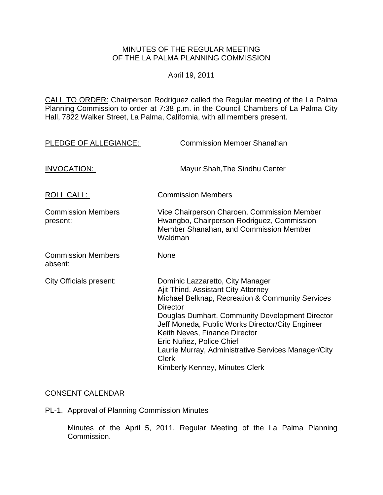#### MINUTES OF THE REGULAR MEETING OF THE LA PALMA PLANNING COMMISSION

#### April 19, 2011

CALL TO ORDER: Chairperson [Rodriguez called the Regular meeting of the La Palma](http://lapalma.granicus.com/MediaPlayerFrameHandler.php?view_id=&clip_id=580&meta_id=72485)  Planning Commission to order at 7:38 [p.m. in the Council Chambers of La Palma City](http://lapalma.granicus.com/MediaPlayerFrameHandler.php?view_id=&clip_id=580&meta_id=72485)  [Hall, 7822 Walker Street, La Palma, California, with all members present.](http://lapalma.granicus.com/MediaPlayerFrameHandler.php?view_id=&clip_id=580&meta_id=72485) 

| PLEDGE OF ALLEGIANCE:                 | <b>Commission Member Shanahan</b>                                                                                                                                                                                                                                                                                                                                                                                           |
|---------------------------------------|-----------------------------------------------------------------------------------------------------------------------------------------------------------------------------------------------------------------------------------------------------------------------------------------------------------------------------------------------------------------------------------------------------------------------------|
| INVOCATION:                           | Mayur Shah, The Sindhu Center                                                                                                                                                                                                                                                                                                                                                                                               |
| ROLL CALL:                            | <b>Commission Members</b>                                                                                                                                                                                                                                                                                                                                                                                                   |
| <b>Commission Members</b><br>present: | Vice Chairperson Charoen, Commission Member<br>Hwangbo, Chairperson Rodriguez, Commission<br>Member Shanahan, and Commission Member<br>Waldman                                                                                                                                                                                                                                                                              |
| <b>Commission Members</b><br>absent:  | <b>None</b>                                                                                                                                                                                                                                                                                                                                                                                                                 |
| <b>City Officials present:</b>        | Dominic Lazzaretto, City Manager<br>Ajit Thind, Assistant City Attorney<br>Michael Belknap, Recreation & Community Services<br><b>Director</b><br>Douglas Dumhart, Community Development Director<br>Jeff Moneda, Public Works Director/City Engineer<br>Keith Neves, Finance Director<br>Eric Nuñez, Police Chief<br>Laurie Murray, Administrative Services Manager/City<br><b>Clerk</b><br>Kimberly Kenney, Minutes Clerk |

#### [CONSENT CALENDAR](http://lapalma.granicus.com/MediaPlayerFrameHandler.php?view_id=&clip_id=580&meta_id=72590)

PL-1. Approval of Planning Commission Minutes

Minutes of the April 5, 2011, Regular Meeting of the La Palma Planning Commission.